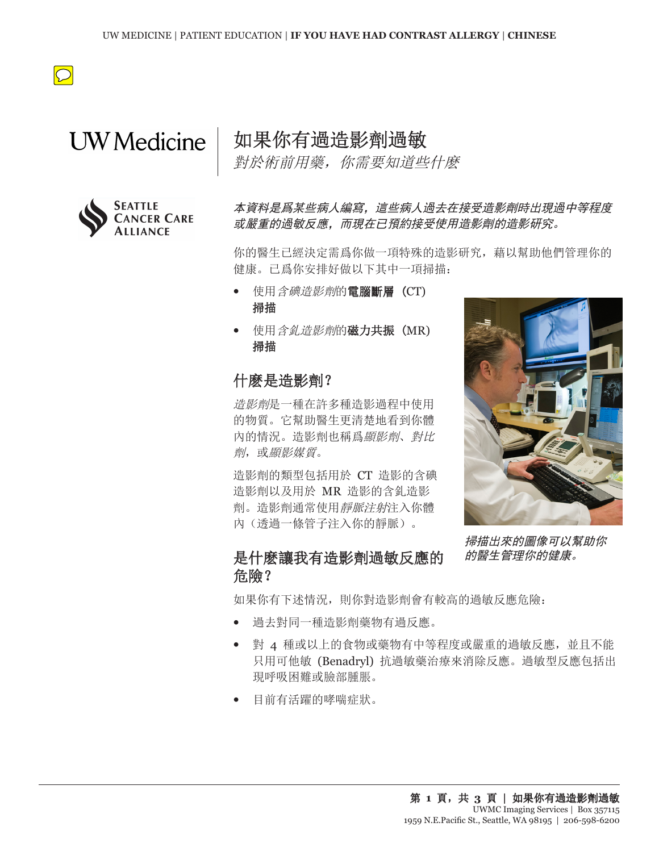

# **UW** Medicine



如果你有過造影劑過敏

對於術前用藥,你需要知道些什麽

本資料是爲某些病人編寫,這些病人過去在接受造影劑時出現過中等程度 或嚴重的過敏反應,而現在已預約接受使用造影劑的造影研究。

你的醫生已經決定需爲你做一項特殊的造影研究, 藉以幫助他們管理你的 健康。已爲你安排好做以下其中一項掃描:

- **•** 使用含碘造影劑的電腦斷層 (CT) 掃描
- **•** 使用含釓造影劑的磁力共振 (MR) 掃描

## 什麽是造影劑?

造影劑是一種在許多種造影過程中使用 的物質。它幫助醫生更清楚地看到你體 內的情況。造影劑也稱爲顯影劑、對比 劑,或顯影媒質。

造影劑的類型包括用於 CT 造影的含碘 造影劑以及用於 MR 造影的含釓造影 劑。造影劑通常使用靜脈注射注入你體 內(透過一條管子注入你的靜脈)。



掃描出來的圖像可以幫助你 的醫生管理你的健康。

## 是什麽讓我有造影劑過敏反應的 危險?

如果你有下述情況, 則你對造影劑會有較高的過敏反應危險:

- **•** 過去對同一種造影劑藥物有過反應。
- **•** 對 4 種或以上的食物或藥物有中等程度或嚴重的過敏反應,並且不能 只用可他敏 (Benadryl) 抗過敏藥治療來消除反應。過敏型反應包括出 現呼吸困難或臉部腫脹。
- **•** 目前有活躍的哮喘症狀。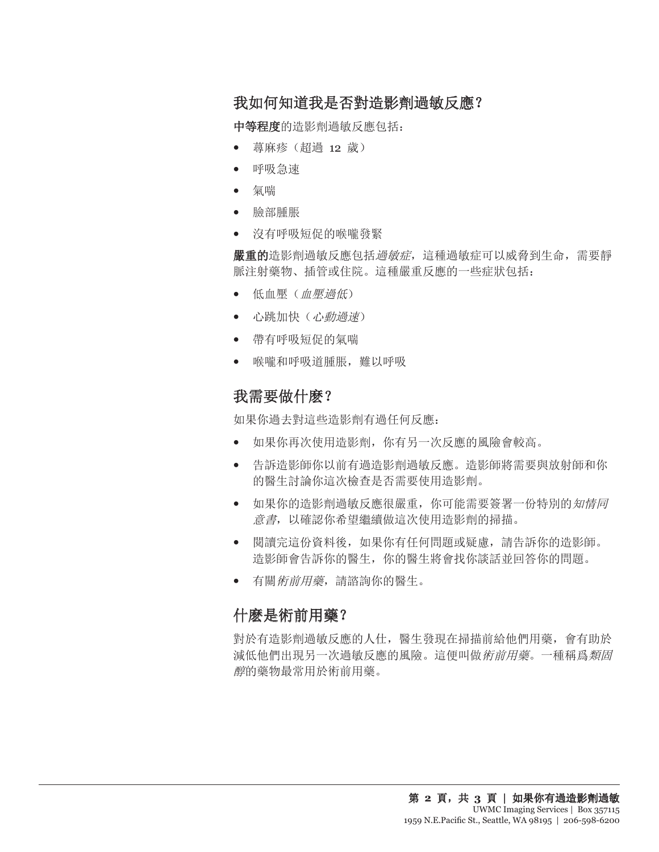# 我如何知道我是否對造影劑過敏反應?

中等程度的造影劑過敏反應包括:

- **•** 蕁麻疹(超過 12 歲)
- **•** 呼吸急速
- **•** 氣喘
- **•** 臉部腫脹
- **•** 沒有呼吸短促的喉嚨發緊

嚴重的造影劑過敏反應包括過敏症,這種過敏症可以威脅到生命,需要靜 脈注射藥物、插管或住院。這種嚴重反應的一些症狀包括:

- **•** 低血壓(血壓過低)
- **•** 心跳加快(心動過速)
- **•** 帶有呼吸短促的氣喘
- **•** 喉嚨和呼吸道腫脹,難以呼吸

## 我需要做什麽?

如果你過去對這些造影劑有過任何反應:

- **•** 如果你再次使用造影劑,你有另一次反應的風險會較高。
- **•** 告訴造影師你以前有過造影劑過敏反應。造影師將需要與放射師和你 的醫生討論你這次檢查是否需要使用造影劑。
- **•** 如果你的造影劑過敏反應很嚴重,你可能需要簽署一份特別的知情同 意書,以確認你希望繼續做這次使用造影劑的掃描。
- **•** 閱讀完這份資料後,如果你有任何問題或疑慮,請告訴你的造影師。 造影師會告訴你的醫生,你的醫生將會找你談話並回答你的問題。
- **•** 有關術前用藥,請諮詢你的醫生。

### 什麽是術前用藥?

對於有造影劑過敏反應的人仕,醫生發現在掃描前給他們用藥,會有助於 減低他們出現另一次過敏反應的風險。這便叫做術前用藥。一種稱爲類固 醇的藥物最常用於術前用藥。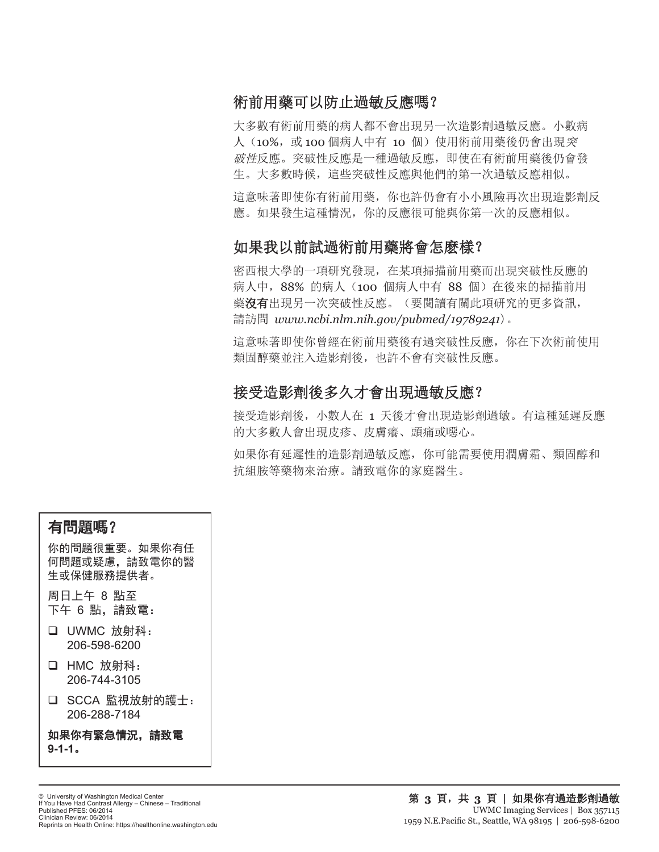# 術前用藥可以防止過敏反應嗎?

大多數有術前用藥的病人都不會出現另一次造影劑過敏反應。小數病 人 (10%, 或 100 個病人中有 10 個) 使用術前用藥後仍會出現 突 破性反應。突破性反應是一種過敏反應,即使在有術前用藥後仍會發 生。大多數時候,這些突破性反應與他們的第一次過敏反應相似。

這意味著即使你有術前用藥,你也許仍會有小小風險再次出現造影劑反 應。如果發生這種情況,你的反應很可能與你第一次的反應相似。

## 如果我以前試過術前用藥將會怎麽樣?

密西根大學的一項研究發現,在某項掃描前用藥而出現突破性反應的 病人中,88% 的病人(100 個病人中有 88 個)在後來的掃描前用 藥沒有出現另一次突破性反應。(要閱讀有關此項研究的更多資訊, 請訪問 *www.ncbi.nlm.nih.gov/pubmed/19789241*)。

這意味著即使你曾經在術前用藥後有過突破性反應,你在下次術前使用 類固醇藥並注入造影劑後,也許不會有突破性反應。

## 接受造影劑後多久才會出現過敏反應?

接受造影劑後,小數人在 1 天後才會出現造影劑過敏。有這種延遲反應 的大多數人會出現皮疹、皮膚癢、頭痛或噁心。

如果你有延遲性的造影劑過敏反應,你可能需要使用潤膚霜、類固醇和 抗組胺等藥物來治療。請致電你的家庭醫生。

## 有問題嗎?

你的問題很重要。如果你有任 何問題或疑慮,請致電你的醫 生或保健服務提供者。

周日上午 8 點至 下午 6 點,請致電:

- □ UWMC 放射科: 206-598-6200
- □ HMC 放射科: 206-744-3105
- □ SCCA 監視放射的護士: 206-288-7184

如果你有緊急情況,請致電 **9-1-1**。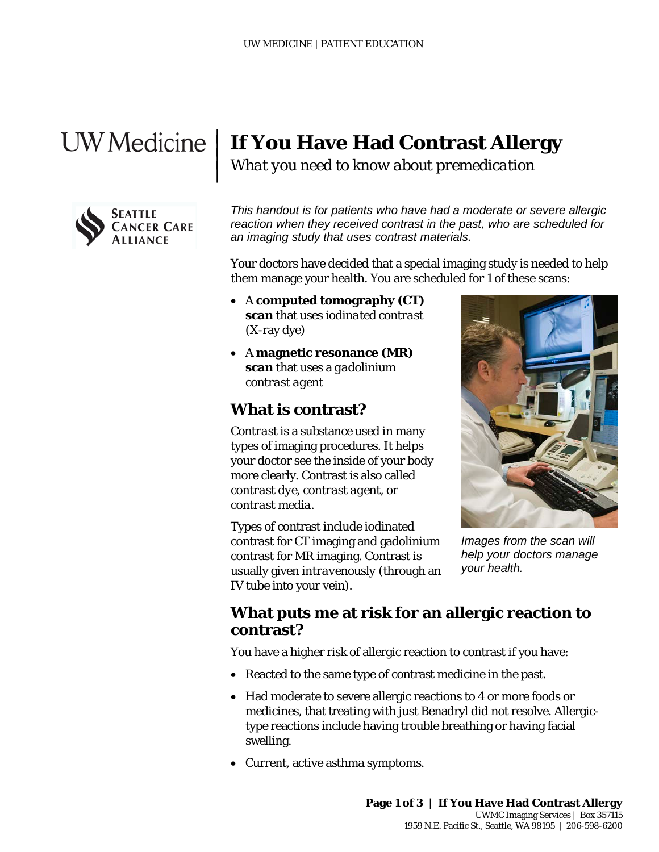|  $\vert$  $\vert$  $\vert$ 



# **If You Have Had Contrast Allergy**

*What you need to know about premedication*

*This handout is for patients who have had a moderate or severe allergic reaction when they received contrast in the past, who are scheduled for an imaging study that uses contrast materials.* 

Your doctors have decided that a special imaging study is needed to help them manage your health. You are scheduled for 1 of these scans:

- A **computed tomography (CT) scan** that uses *iodinated contrast* (X-ray dye)
- A **magnetic resonance (MR) scan** that uses a *gadolinium contrast agent*

## **What is contrast?**

*Contrast* is a substance used in many types of imaging procedures. It helps your doctor see the inside of your body more clearly. Contrast is also called *contrast dye*, *contrast agent*, or *contrast media*.

Types of contrast include iodinated contrast for CT imaging and gadolinium contrast for MR imaging. Contrast is usually given *intravenously* (through an IV tube into your vein).



*Images from the scan will help your doctors manage your health.*

## **What puts me at risk for an allergic reaction to contrast?**

You have a higher risk of allergic reaction to contrast if you have:

- Reacted to the same type of contrast medicine in the past.
- Had moderate to severe allergic reactions to 4 or more foods or medicines, that treating with just Benadryl did not resolve. Allergictype reactions include having trouble breathing or having facial swelling.
- Current, active asthma symptoms.

\_\_\_\_\_\_\_\_\_\_\_\_\_\_\_\_\_\_\_\_\_\_\_\_\_\_\_\_\_\_\_\_\_\_\_\_\_\_\_\_\_\_\_\_\_\_\_\_\_\_\_\_\_\_\_\_\_\_\_\_\_\_\_\_\_\_\_\_\_\_\_\_\_\_\_\_\_\_\_\_\_\_\_\_\_\_\_\_\_\_\_\_\_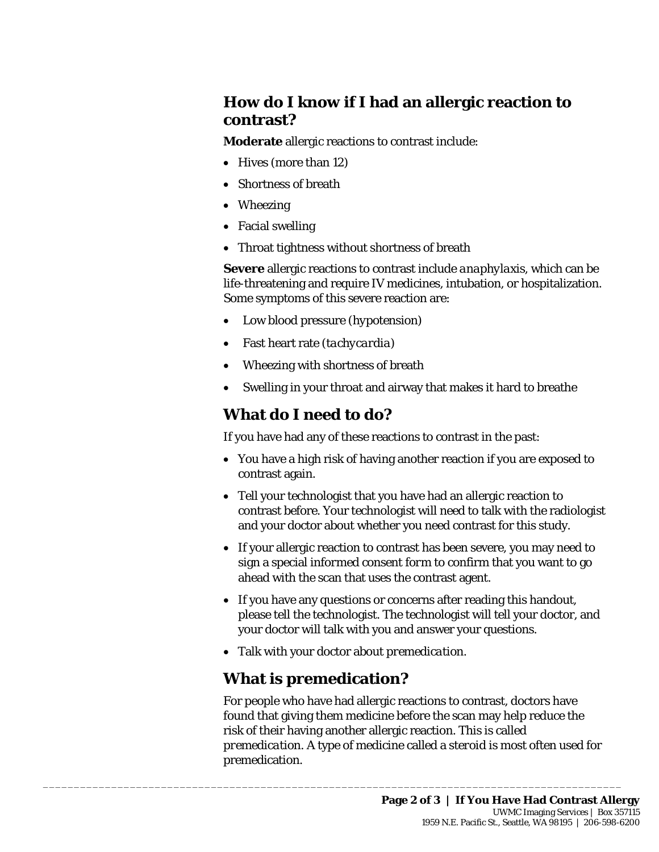## **How do I know if I had an allergic reaction to contrast?**

**Moderate** allergic reactions to contrast include:

- Hives (more than 12)
- Shortness of breath
- Wheezing
- Facial swelling
- Throat tightness without shortness of breath

**Severe** allergic reactions to contrast include *anaphylaxis*, which can be life-threatening and require IV medicines, intubation, or hospitalization. Some symptoms of this severe reaction are:

- Low blood pressure (*hypotension*)
- Fast heart rate (*tachycardia*)
- Wheezing with shortness of breath
- Swelling in your throat and airway that makes it hard to breathe

# **What do I need to do?**

If you have had any of these reactions to contrast in the past:

- You have a high risk of having another reaction if you are exposed to contrast again.
- Tell your technologist that you have had an allergic reaction to contrast before. Your technologist will need to talk with the radiologist and your doctor about whether you need contrast for this study.
- If your allergic reaction to contrast has been severe, you may need to sign a special *informed consent form* to confirm that you want to go ahead with the scan that uses the contrast agent.
- If you have any questions or concerns after reading this handout, please tell the technologist. The technologist will tell your doctor, and your doctor will talk with you and answer your questions.
- Talk with your doctor about *premedication*.

# **What is premedication?**

\_\_\_\_\_\_\_\_\_\_\_\_\_\_\_\_\_\_\_\_\_\_\_\_\_\_\_\_\_\_\_\_\_\_\_\_\_\_\_\_\_\_\_\_\_\_\_\_\_\_\_\_\_\_\_\_\_\_\_\_\_\_\_\_\_\_\_\_\_\_\_\_\_\_\_\_\_\_\_\_\_\_\_\_\_\_\_\_\_\_\_\_\_

For people who have had allergic reactions to contrast, doctors have found that giving them medicine before the scan may help reduce the risk of their having another allergic reaction. This is called *premedication*. A type of medicine called a *steroid* is most often used for premedication.